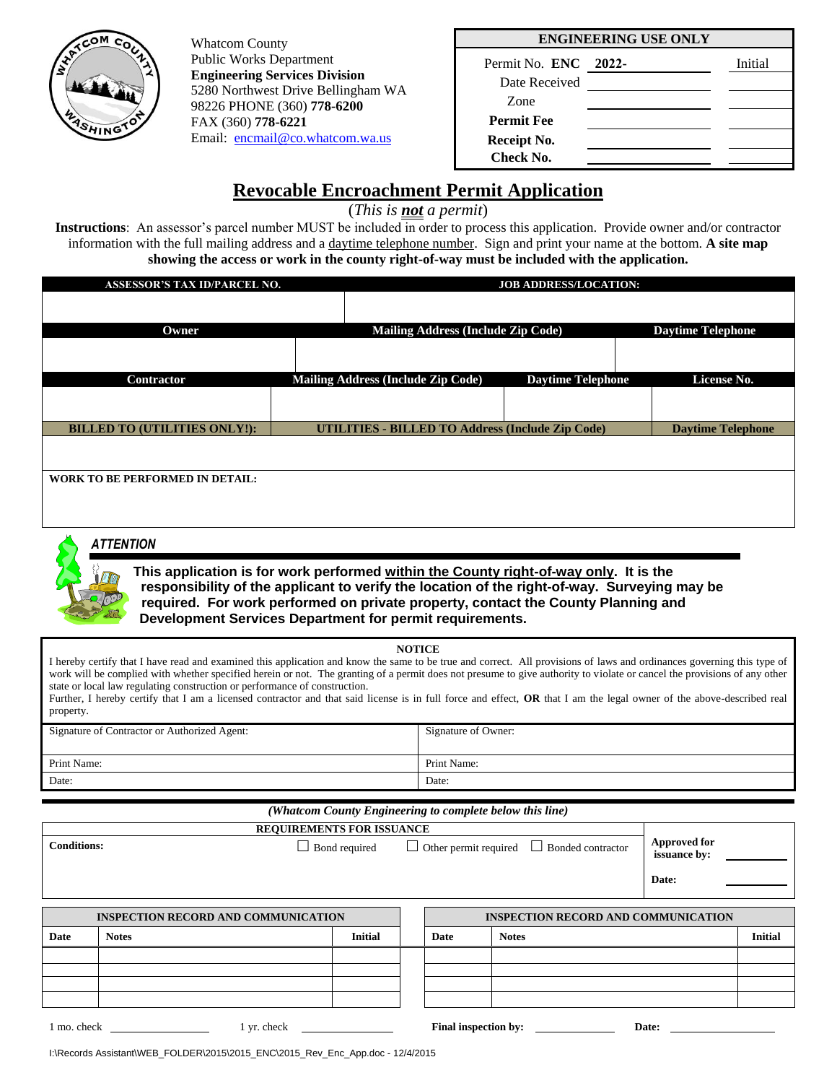

Whatcom County Public Works Department **Engineering Services Division**  5280 Northwest Drive Bellingham WA 98226 PHONE (360) **778-6200** FAX (360) **778-6221** Email: [encmail@co.whatcom.wa.us](mailto:encmail@co.whatcom.wa.us)

#### **ENGINEERING USE ONLY**

| Permit No. ENC 2022- | Initial |
|----------------------|---------|
| Date Received        |         |
| <b>Zone</b>          |         |
| <b>Permit Fee</b>    |         |
| Receipt No.          |         |
| Check No.            |         |

# **Revocable Encroachment Permit Application**

(*This is not a permit*)

**Instructions**: An assessor's parcel number MUST be included in order to process this application. Provide owner and/or contractor information with the full mailing address and a daytime telephone number. Sign and print your name at the bottom. **A site map showing the access or work in the county right-of-way must be included with the application.** 

| <b>ASSESSOR'S TAX ID/PARCEL NO.</b>    | <b>JOB ADDRESS/LOCATION:</b>                            |  |                          |  |                          |  |
|----------------------------------------|---------------------------------------------------------|--|--------------------------|--|--------------------------|--|
|                                        |                                                         |  |                          |  |                          |  |
| Owner                                  | <b>Mailing Address (Include Zip Code)</b>               |  |                          |  | <b>Daytime Telephone</b> |  |
|                                        |                                                         |  |                          |  |                          |  |
| Contractor                             | <b>Mailing Address (Include Zip Code)</b>               |  | <b>Daytime Telephone</b> |  | License No.              |  |
|                                        |                                                         |  |                          |  |                          |  |
| <b>BILLED TO (UTILITIES ONLY!):</b>    | <b>UTILITIES - BILLED TO Address (Include Zip Code)</b> |  |                          |  | <b>Daytime Telephone</b> |  |
|                                        |                                                         |  |                          |  |                          |  |
| <b>WORK TO BE PERFORMED IN DETAIL:</b> |                                                         |  |                          |  |                          |  |
|                                        |                                                         |  |                          |  |                          |  |



### *ATTENTION*

**This application is for work performed within the County right-of-way only. It is the responsibility of the applicant to verify the location of the right-of-way. Surveying may be required. For work performed on private property, contact the County Planning and Development Services Department for permit requirements.** 

#### **NOTICE**

I hereby certify that I have read and examined this application and know the same to be true and correct. All provisions of laws and ordinances governing this type of work will be complied with whether specified herein or not. The granting of a permit does not presume to give authority to violate or cancel the provisions of any other state or local law regulating construction or performance of construction.

Further, I hereby certify that I am a licensed contractor and that said license is in full force and effect, **OR** that I am the legal owner of the above-described real property.

| Signature of Contractor or Authorized Agent: | Signature of Owner: |
|----------------------------------------------|---------------------|
|                                              |                     |
| Print Name:                                  | Print Name:         |
| Date:                                        | Date:               |

## *(Whatcom County Engineering to complete below this line)*

| <b>REQUIREMENTS FOR ISSUANCE</b>           |              |                      |  |                                                   |              |                                     |       |                |
|--------------------------------------------|--------------|----------------------|--|---------------------------------------------------|--------------|-------------------------------------|-------|----------------|
| <b>Conditions:</b>                         |              | $\Box$ Bond required |  | $\Box$ Other permit required<br>Bonded contractor |              | <b>Approved for</b><br>issuance by: |       |                |
|                                            |              |                      |  |                                                   |              |                                     | Date: |                |
|                                            |              |                      |  |                                                   |              |                                     |       |                |
| <b>INSPECTION RECORD AND COMMUNICATION</b> |              |                      |  | <b>INSPECTION RECORD AND COMMUNICATION</b>        |              |                                     |       |                |
| Date                                       | <b>Notes</b> | <b>Initial</b>       |  | Date                                              | <b>Notes</b> |                                     |       | <b>Initial</b> |
|                                            |              |                      |  |                                                   |              |                                     |       |                |
|                                            |              |                      |  |                                                   |              |                                     |       |                |
|                                            |              |                      |  |                                                   |              |                                     |       |                |
|                                            |              |                      |  |                                                   |              |                                     |       |                |
| 1 mo. check                                | 1 yr. check  |                      |  | Final inspection by:                              |              |                                     | Date: |                |

I:\Records Assistant\WEB\_FOLDER\2015\2015\_ENC\2015\_Rev\_Enc\_App.doc - 12/4/2015